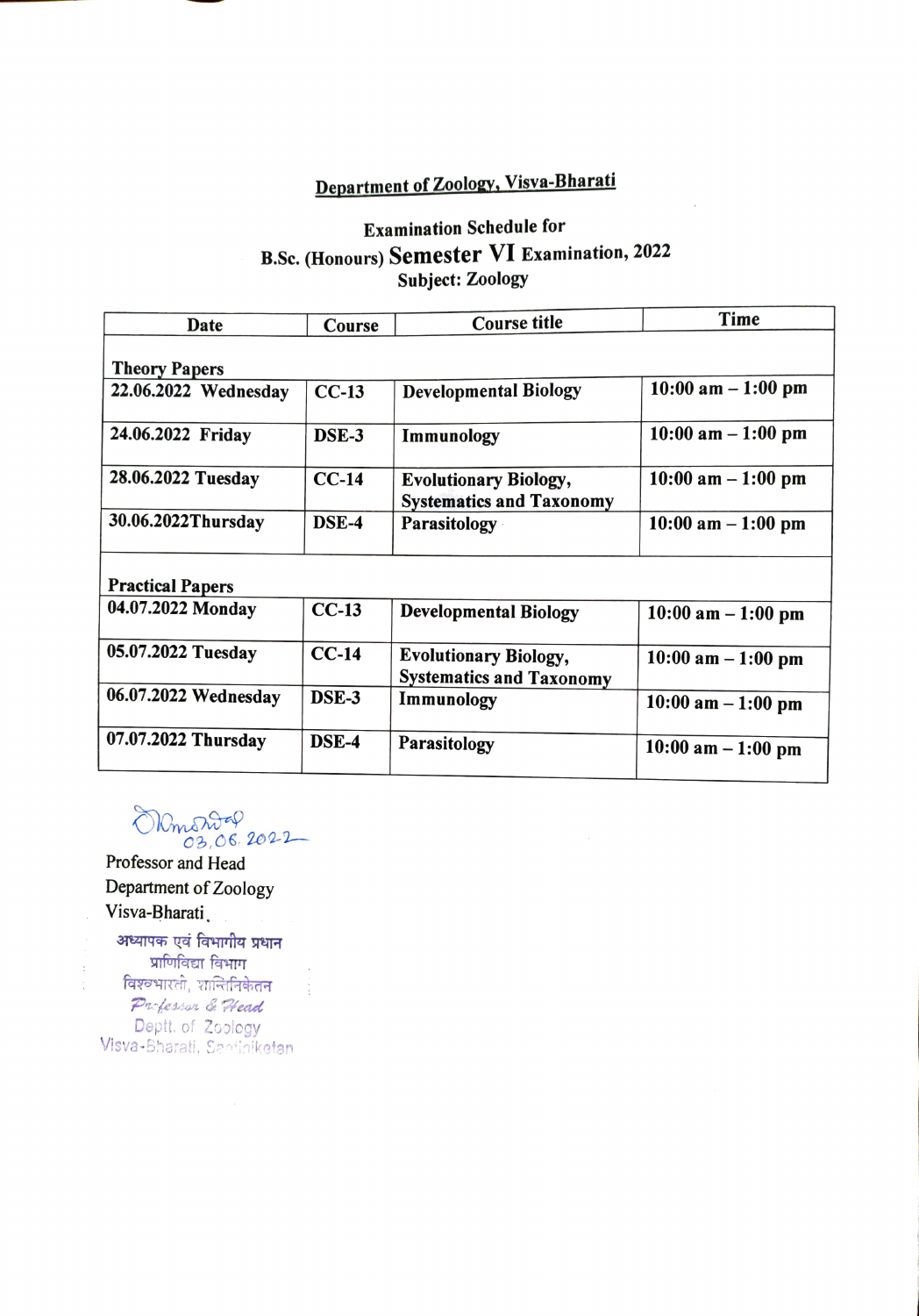## Department of Zoology, Visva-Bharati

## Examination Schedule for B.Sc. (Honours) Semester VI Examination, 2022 Subject: Zoology

| Date                    | Course       | <b>Course title</b>                                             | Time                  |  |  |
|-------------------------|--------------|-----------------------------------------------------------------|-----------------------|--|--|
| <b>Theory Papers</b>    |              |                                                                 |                       |  |  |
| 22.06.2022 Wednesday    | $CC-13$      | <b>Developmental Biology</b>                                    | $10:00$ am $-1:00$ pm |  |  |
| 24.06.2022 Friday       | DSE-3        | Immunology                                                      | $10:00$ am $-1:00$ pm |  |  |
| 28.06.2022 Tuesday      | $CC-14$      | <b>Evolutionary Biology,</b><br><b>Systematics and Taxonomy</b> | $10:00$ am $-1:00$ pm |  |  |
| 30.06.2022Thursday      | DSE-4        | <b>Parasitology</b>                                             | $10:00$ am $-1:00$ pm |  |  |
| <b>Practical Papers</b> |              |                                                                 |                       |  |  |
| 04.07.2022 Monday       | $CC-13$      | <b>Developmental Biology</b>                                    | $10:00$ am $-1:00$ pm |  |  |
| 05.07.2022 Tuesday      | $CC-14$      | <b>Evolutionary Biology,</b><br><b>Systematics and Taxonomy</b> | $10:00$ am $-1:00$ pm |  |  |
| 06.07.2022 Wednesday    | DSE-3        | Immunology                                                      | $10:00$ am $-1:00$ pm |  |  |
| 07.07.2022 Thursday     | <b>DSE-4</b> | Parasitology                                                    | $10:00$ am $-1:00$ pm |  |  |

ORmontal

Professor and Head Department of Zoology Visva-Bharati,

प्राणिविद्या विभाग विश्वभारती, शान्तिनिकेतन Parhessor & Head Dept. of Zoology **Visva-**Bharati, Santiniketan,